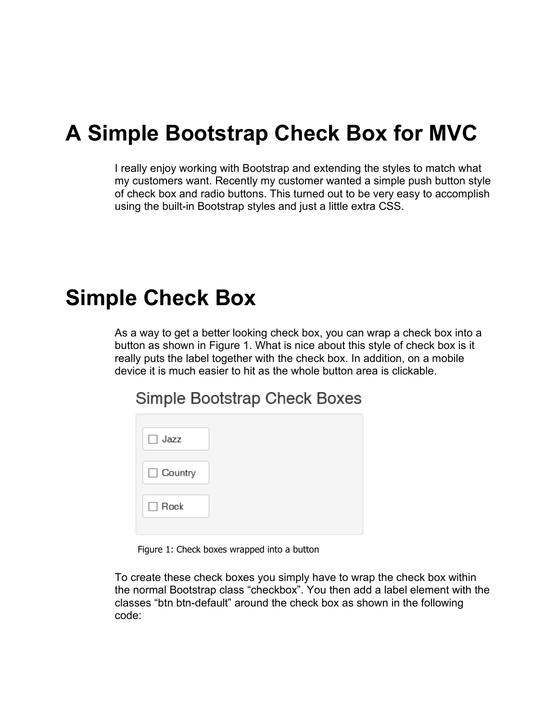## **A Simple Bootstrap Check Box for MVC**

I really enjoy working with Bootstrap and extending the styles to match what my customers want. Recently my customer wanted a simple push button style of check box and radio buttons. This turned out to be very easy to accomplish using the built-in Bootstrap styles and just a little extra CSS.

## **Simple Check Box**

As a way to get a better looking check box, you can wrap a check box into a button as shown in Figure 1. What is nice about this style of check box is it really puts the label together with the check box. In addition, on a mobile device it is much easier to hit as the whole button area is clickable.

Simple Bootstrap Check Boxes

| $\Box$ Jazz |  |
|-------------|--|
| □ Country   |  |
| $\Box$ Rock |  |

Figure 1: Check boxes wrapped into a button

To create these check boxes you simply have to wrap the check box within the normal Bootstrap class "checkbox". You then add a label element with the classes "btn btn-default" around the check box as shown in the following code: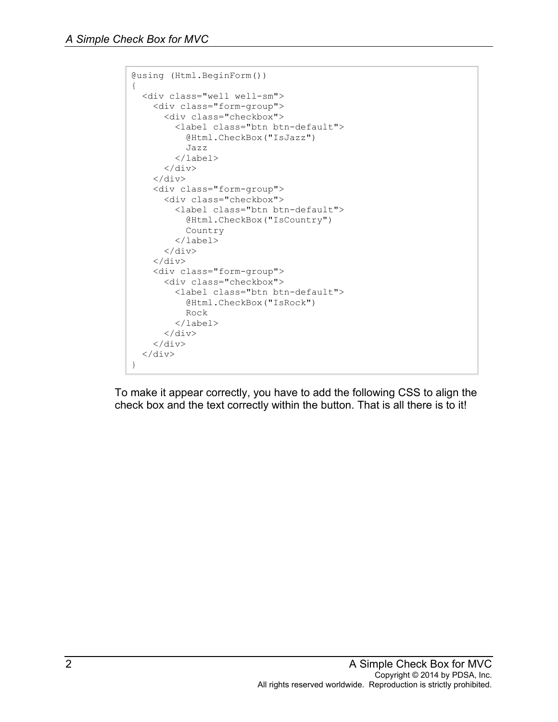```
@using (Html.BeginForm())
{
   <div class="well well-sm">
     <div class="form-group">
       <div class="checkbox">
          <label class="btn btn-default">
            @Html.CheckBox("IsJazz")
            Jazz
          </label>
      \langle div>
     </div>
     <div class="form-group">
       <div class="checkbox">
          <label class="btn btn-default">
            @Html.CheckBox("IsCountry")
            Country
          </label>
      \langle/div\rangle\langle div>
     <div class="form-group">
       <div class="checkbox">
          <label class="btn btn-default">
            @Html.CheckBox("IsRock")
            Rock
          </label>
      \langle div>
    \langlediv\rangle\langle div>
}
```
To make it appear correctly, you have to add the following CSS to align the check box and the text correctly within the button. That is all there is to it!